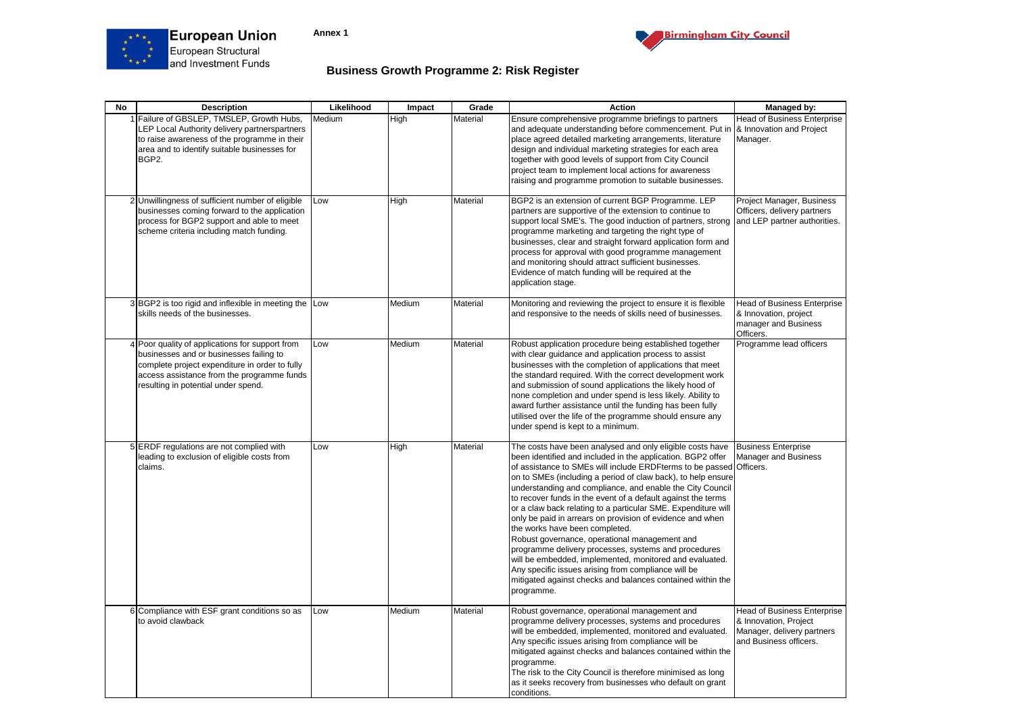





## **Business Growth Programme 2: Risk Register**

| <b>No</b> | <b>Description</b>                                                                                                                                                                                                                | Likelihood | Impact | Grade    | <b>Action</b>                                                                                                                                                                                                                                                                                                                                                                                                                                                                                                                                                                                                                                                                                                                                                                                                                                                       | Managed by:                                                                                                         |
|-----------|-----------------------------------------------------------------------------------------------------------------------------------------------------------------------------------------------------------------------------------|------------|--------|----------|---------------------------------------------------------------------------------------------------------------------------------------------------------------------------------------------------------------------------------------------------------------------------------------------------------------------------------------------------------------------------------------------------------------------------------------------------------------------------------------------------------------------------------------------------------------------------------------------------------------------------------------------------------------------------------------------------------------------------------------------------------------------------------------------------------------------------------------------------------------------|---------------------------------------------------------------------------------------------------------------------|
|           | 1 Failure of GBSLEP, TMSLEP, Growth Hubs,<br>LEP Local Authority delivery partnerspartners<br>to raise awareness of the programme in their<br>area and to identify suitable businesses for<br>BGP2.                               | Medium     | High   | Material | Ensure comprehensive programme briefings to partners<br>and adequate understanding before commencement. Put in<br>place agreed detailed marketing arrangements, literature<br>design and individual marketing strategies for each area<br>together with good levels of support from City Council<br>project team to implement local actions for awareness<br>raising and programme promotion to suitable businesses.                                                                                                                                                                                                                                                                                                                                                                                                                                                | <b>Head of Business Enterprise</b><br>& Innovation and Project<br>Manager.                                          |
|           | 2 Unwillingness of sufficient number of eligible<br>businesses coming forward to the application<br>process for BGP2 support and able to meet<br>scheme criteria including match funding.                                         | Low        | High   | Material | BGP2 is an extension of current BGP Programme. LEP<br>partners are supportive of the extension to continue to<br>support local SME's. The good induction of partners, strong<br>programme marketing and targeting the right type of<br>businesses, clear and straight forward application form and<br>process for approval with good programme management<br>and monitoring should attract sufficient businesses.<br>Evidence of match funding will be required at the<br>application stage.                                                                                                                                                                                                                                                                                                                                                                        | Project Manager, Business<br>Officers, delivery partners<br>and LEP partner authorities.                            |
|           | 3 BGP2 is too rigid and inflexible in meeting the Low<br>skills needs of the businesses.                                                                                                                                          |            | Medium | Material | Monitoring and reviewing the project to ensure it is flexible<br>and responsive to the needs of skills need of businesses.                                                                                                                                                                                                                                                                                                                                                                                                                                                                                                                                                                                                                                                                                                                                          | <b>Head of Business Enterprise</b><br>& Innovation, project<br>manager and Business<br>Officers.                    |
|           | 4 Poor quality of applications for support from<br>businesses and or businesses failing to<br>complete project expenditure in order to fully<br>access assistance from the programme funds<br>resulting in potential under spend. | Low        | Medium | Material | Robust application procedure being established together<br>with clear guidance and application process to assist<br>businesses with the completion of applications that meet<br>the standard required. With the correct development work<br>and submission of sound applications the likely hood of<br>none completion and under spend is less likely. Ability to<br>award further assistance until the funding has been fully<br>utilised over the life of the programme should ensure any<br>under spend is kept to a minimum.                                                                                                                                                                                                                                                                                                                                    | Programme lead officers                                                                                             |
|           | 5 ERDF regulations are not complied with<br>leading to exclusion of eligible costs from<br>claims.                                                                                                                                | Low        | High   | Material | The costs have been analysed and only eligible costs have<br>been identified and included in the application. BGP2 offer<br>of assistance to SMEs will include ERDFterms to be passed Officers.<br>on to SMEs (including a period of claw back), to help ensure<br>understanding and compliance, and enable the City Council<br>to recover funds in the event of a default against the terms<br>or a claw back relating to a particular SME. Expenditure will<br>only be paid in arrears on provision of evidence and when<br>the works have been completed.<br>Robust governance, operational management and<br>programme delivery processes, systems and procedures<br>will be embedded, implemented, monitored and evaluated.<br>Any specific issues arising from compliance will be<br>mitigated against checks and balances contained within the<br>programme. | <b>Business Enterprise</b><br><b>Manager and Business</b>                                                           |
|           | 6 Compliance with ESF grant conditions so as<br>to avoid clawback                                                                                                                                                                 | Low        | Medium | Material | Robust governance, operational management and<br>programme delivery processes, systems and procedures<br>will be embedded, implemented, monitored and evaluated.<br>Any specific issues arising from compliance will be<br>mitigated against checks and balances contained within the<br>programme.<br>The risk to the City Council is therefore minimised as long<br>as it seeks recovery from businesses who default on grant<br>conditions.                                                                                                                                                                                                                                                                                                                                                                                                                      | <b>Head of Business Enterprise</b><br>& Innovation, Project<br>Manager, delivery partners<br>and Business officers. |